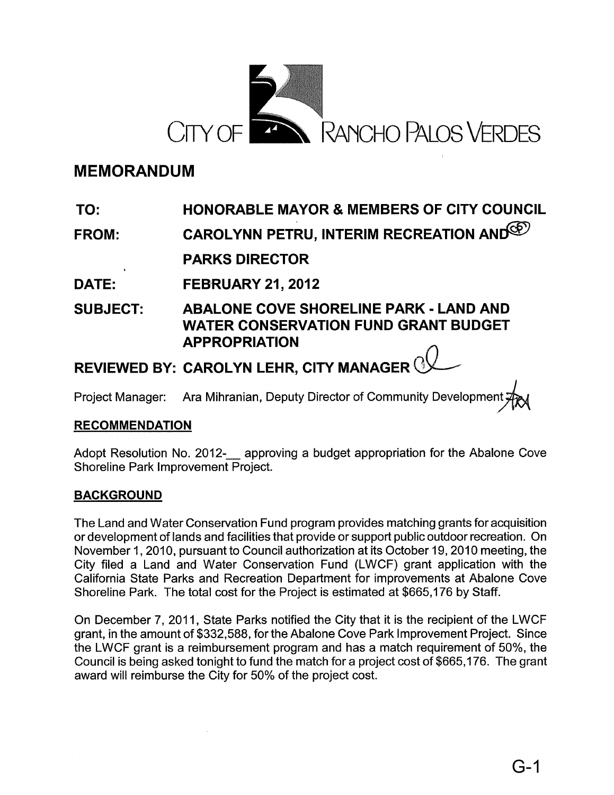

# **MEMORANDUM**

#### **TO: HONORABLE MAYOR & MEMBERS OF CITY COUNCIL**

**FROM: CAROLYNN PETRU, INTERIM RECREATION AND CONVEY OF ALSO PARKS DIRECTOR**

**DATE: FEB'RUARY 21,2012**

**SUBJECT:** ABALONE COVE **SHORELINE PARK - LAND AND WATER CONSERVATION FUND GRANT BUDGET APPROPRIATION**

**REVIEWED BY: CAROLYN LEHR, CITY MANAGER**~.

Project Manager: Ara Mihranian, Deputy Director of Community Development

## **RECOMMENDATION**

Adopt Resolution No. 2012- approving a budget appropriation for the Abalone Cove Shoreline Park Improvement Project.

### **BACKGROUND**

The Land and Water Conservation Fund program provides matching grants for acquisition or development of lands and facilities that provide or support public outdoor recreation. On November 1, 2010, pursuant to Council authorization at its October 19, 2010 meeting, the City filed a Land and Water Conservation Fund (LWCF) grant application with the California State Parks and Recreation Department for improvements at Abalone Cove Shoreline Park. The total cost for the Project is estimated at \$665,176 by Staff.

On December 7,2011, State Parks notified the City that it is the recipient of the LWCF grant, in the amount of \$332,588, for the Abalone Cove Park Improvement Project. Since the LWCF grant is a reimbursement program and has a match requirement of 50%, the Council is being asked tonight to fund the match for a project cost of \$665,176. The grant award will reimburse the City for 50% of the project cost.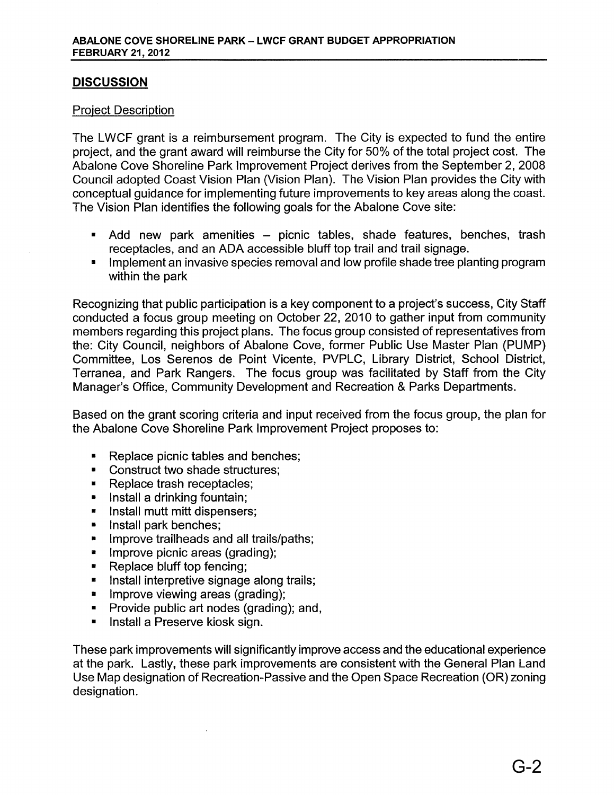### **DISCUSSION**

#### Project Description

The LWCF grant is a reimbursement program. The City is expected to fund the entire project, and the grant award will reimburse the City for 50% of the total project cost. The Abalone Cove Shoreline Park Improvement Project derives from the September 2, 2008 Council adopted Coast Vision Plan (Vision Plan). The Vision Plan provides the City with conceptual guidance for implementing future improvements to key areas along the coast. The Vision Plan identifies the following goals for the Abalone Cove site:

- Add new park amenities picnic tables, shade features, benches, trash receptacles, and an ADA accessible bluff top trail and trail signage.
- Implement an invasive species removal and low profile shade tree planting program within the park

Recognizing that public participation is a key component to a project's success, City Staff conducted a focus group meeting on October 22, 2010 to gather input from community members regarding this project plans. The focus group consisted of representatives from the: City Council, neighbors of Abalone Cove, former Public Use Master Plan (PUMP) Committee, Los Serenos de Point Vicente, PVPLC, Library District, School District, Terranea, and Park Rangers. The focus group was facilitated by Staff from the City Manager's Office, Community Development and Recreation & Parks Departments.

Based on the grant scoring criteria and input received from the focus group, the plan for the Abalone Cove Shoreline Park Improvement Project proposes to:

- Replace picnic tables and benches;
- Construct two shade structures:
- Replace trash receptacles;
- Install a drinking fountain;
- Install mutt mitt dispensers;
- **•** Install park benches;
- **•** Improve trailheads and all trails/paths;
- Improve picnic areas (grading);
- Replace bluff top fencing;
- Install interpretive signage along trails;
- **•** Improve viewing areas (grading);
- Provide public art nodes (grading); and,
- Install a Preserve kiosk sign.

These park improvements will significantly improve access and the educational experience at the park. Lastly, these park improvements are consistent with the General Plan Land Use Map designation of Recreation-Passive and the Open Space Recreation (OR) zoning designation.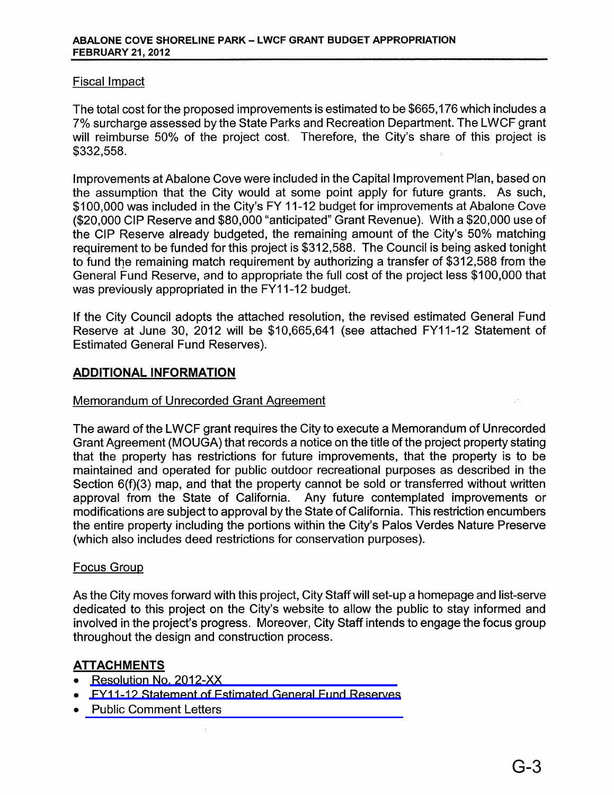#### Fiscal Impact

The total cost for the proposed improvements is estimated to be \$665,176 which includes a 7% surcharge assessed by the State Parks and Recreation Department. The LWCF grant will reimburse 50% of the project cost. Therefore, the City's share of this project is \$332,558.

Improvements at Abalone Cove were included in the Capital Improvement Plan, based on the assumption that the City would at some point apply for future grants. As such, \$100,000 was included in the City's FY 11-12 budget for improvements at Abalone Cove (\$20,000 CIP Reserve and \$80,000 "anticipated" Grant Revenue). With a \$20,000 use of the CIP Reserve already budgeted, the remaining amount of the City's 50% matching requirement to be funded for this project is \$312,588. The Council is being asked tonight to fund the remaining match requirement by authorizing a transfer of \$312,588 from the General Fund Reserve, and to appropriate the full cost of the project less \$100,000 that was previously appropriated in the FY11-12 budget.

If the City Council adopts the attached resolution, the revised estimated General Fund Reserve at June 30, 2012 will be \$10,665,641 (see attached FY11-12 Statement of Estimated General Fund Reserves).

### **ADDITIONAL INFORMATION**

#### Memorandum of Unrecorded Grant Agreement

The award of the LWCF grant requires the City to execute a Memorandum of Unrecorded Grant Agreement (MQUGA) that records a notice on the title of the project property stating that the property has restrictions for future improvements, that the property is to be maintained and operated for public outdoor recreational purposes as described in the Section 6(f)(3) map, and that the property cannot be sold or transferred without written approval from the State of California. Any future contemplated improvements or modifications are subject to approval by the State of California. This restriction encumbers the entire property including the portions within the City's Palos Verdes Nature Preserve (which also includes deed restrictions for conservation purposes).

#### Focus Group

As the City moves forward with this project, City Staffwill set-up a homepage and list-serve dedicated to this project on the City's website to allow the public to stay informed and involved in the project's progress. Moreover, City Staff intends to engage the focus group throughout the design and construction process.

### **ATTACHMENTS**

- [Resolution](#page-3-0) No. 2012-XX
- FY11-12 [Statement](#page-4-0) of Estimated General Fund Reserves
- Public [Comment](#page-5-0) Letters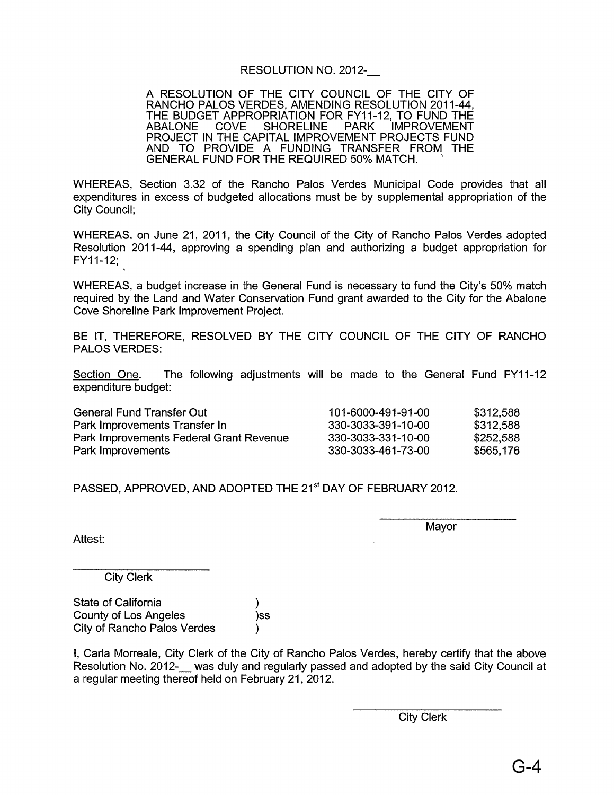#### RESOLUTION NO. 2012-\_

<span id="page-3-0"></span>A RESOLUTION OF THE CITY COUNCIL OF THE CITY OF RANCHO PALOS VERDES, AMENDING RESOLUTION 2011-44, THE BUDGET APPROPRIATION FOR FY11-12, TO FUND THE<br>ABALONE COVE SHORELINE PARK IMPROVEMENT ABALONE COVE SHORELINE PARK IMPROVEMENT PROJECT IN THE CAPITAL IMPROVEMENT PROJECTS FUND AND TO PROVIDE A FUNDING TRANSFER FROM THE GENERAL FUND FOR THE REQUIRED 50% MATCH.

WHEREAS, Section 3.32 of the Rancho Palos Verdes Municipal Code provides that all expenditures in excess of budgeted allocations must be by supplemental appropriation of the City Council;

WHEREAS, on June 21, 2011, the City Council of the City of Rancho Palos Verdes adopted Resolution 2011-44, approving a spending plan and authorizing a budget appropriation for FY11-12;

WHEREAS, a budget increase in the General Fund is necessary to fund the City's 50% match required by the Land and Water Conservation Fund grant awarded to the City for the Abalone Cove Shoreline Park Improvement Project.

BE IT, THEREFORE, RESOLVED BY THE CITY COUNCIL OF THE CITY OF RANCHO PALOS VERDES:

Section One. The following adjustments will be made to the General Fund FY11-12 expenditure budget:

| General Fund Transfer Out               | 101-6000-491-91-00 | \$312,588 |
|-----------------------------------------|--------------------|-----------|
| Park Improvements Transfer In           | 330-3033-391-10-00 | \$312,588 |
| Park Improvements Federal Grant Revenue | 330-3033-331-10-00 | \$252,588 |
| Park Improvements                       | 330-3033-461-73-00 | \$565.176 |

PASSED, APPROVED, AND ADOPTED THE 21<sup>st</sup> DAY OF FEBRUARY 2012.

Mayor

Attest:

City Clerk

State of California ) County of Los Angeles )ss City of Rancho Palos Verdes )

I, Carla Morreale, City Clerk of the City of Rancho Palos Verdes, hereby certify that the above Resolution No. 2012-\_ was duly and regularly passed and adopted by the said City Council at a regular meeting thereof held on February 21, 2012.

City Clerk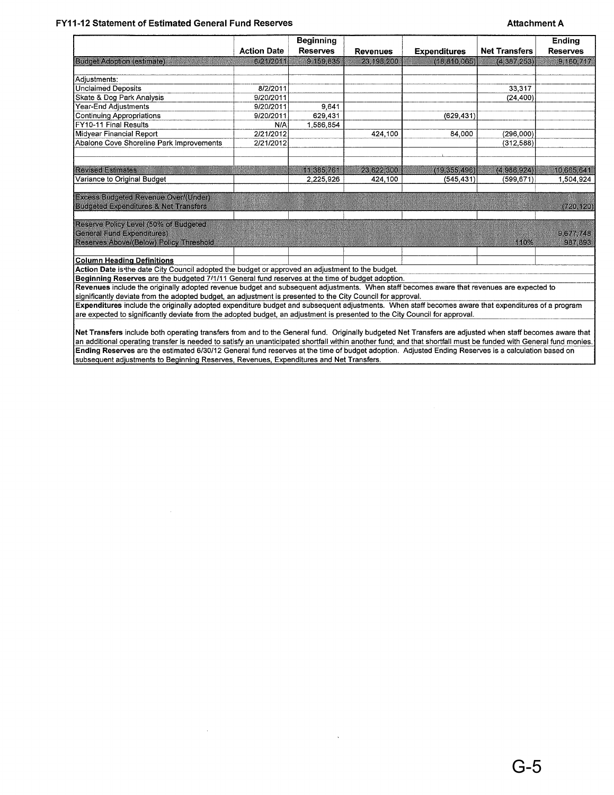#### <span id="page-4-0"></span>FY11-12 Statement of Estimated General Fund Reserves **Attachment A**ttachment A

|                                                                                                                                           |                                                                                                                                                    | <b>Beginning</b> |                 |                     |                      | <b>Ending</b>   |
|-------------------------------------------------------------------------------------------------------------------------------------------|----------------------------------------------------------------------------------------------------------------------------------------------------|------------------|-----------------|---------------------|----------------------|-----------------|
|                                                                                                                                           | <b>Action Date</b>                                                                                                                                 | <b>Reserves</b>  | <b>Revenues</b> | <b>Expenditures</b> | <b>Net Transfers</b> | <b>Reserves</b> |
| <b>Budget Adoption (estimate)</b>                                                                                                         | 6/21/2011                                                                                                                                          | 9,159,835        | 23,198,200      | (18.810.065)        | (4, 387, 253)        | 9.160.717       |
|                                                                                                                                           |                                                                                                                                                    |                  |                 |                     |                      |                 |
| Adiustments:                                                                                                                              |                                                                                                                                                    |                  |                 |                     |                      |                 |
| <b>Unclaimed Deposits</b>                                                                                                                 | 8/2/2011                                                                                                                                           |                  |                 |                     | 33,317               |                 |
| Skate & Dog Park Analysis                                                                                                                 | 9/20/2011                                                                                                                                          |                  |                 |                     | (24, 400)            |                 |
| Year-End Adjustments                                                                                                                      | 9/20/2011                                                                                                                                          | 9,641            |                 |                     |                      |                 |
| <b>Continuing Appropriations</b>                                                                                                          | 9/20/2011                                                                                                                                          | 629,431          |                 | (629, 431)          |                      |                 |
| FY10-11 Final Results                                                                                                                     | N/A                                                                                                                                                | 1,586,854        |                 |                     |                      |                 |
| Midyear Financial Report                                                                                                                  | 2/21/2012                                                                                                                                          |                  | 424,100         | 84,000              | (296,000)            |                 |
| Abalone Cove Shoreline Park Improvements                                                                                                  | 2/21/2012                                                                                                                                          |                  |                 |                     | (312.588)            |                 |
|                                                                                                                                           |                                                                                                                                                    |                  |                 |                     |                      |                 |
|                                                                                                                                           |                                                                                                                                                    |                  |                 |                     |                      |                 |
| <b>Revised Estimates</b>                                                                                                                  |                                                                                                                                                    | 11,385,761       | 23,622,300      | (19, 355, 496)      | (4,986,924)          | 10 665 641      |
| Variance to Original Budget                                                                                                               |                                                                                                                                                    | 2,225,926        | 424.100         | (545, 431)          | (599.671)            | 1,504,924       |
|                                                                                                                                           |                                                                                                                                                    |                  |                 |                     |                      |                 |
| <b>Excess Budgeted Revenue Over/(Under)</b>                                                                                               |                                                                                                                                                    |                  |                 |                     |                      |                 |
| <b>Budgeted Expenditures &amp; Net Transfers</b>                                                                                          |                                                                                                                                                    |                  |                 |                     |                      | (720, 120)      |
|                                                                                                                                           |                                                                                                                                                    |                  |                 |                     |                      |                 |
| Reserve Policy Level (50% of Budgeted                                                                                                     |                                                                                                                                                    |                  |                 |                     |                      |                 |
| General Fund Expenditures)                                                                                                                |                                                                                                                                                    |                  |                 |                     |                      | 9677.748        |
| Reserves Above/(Below) Policy Threshold                                                                                                   |                                                                                                                                                    |                  |                 |                     | 110%                 | 967,893         |
|                                                                                                                                           |                                                                                                                                                    |                  |                 |                     |                      |                 |
| <b>Column Heading Definitions</b>                                                                                                         |                                                                                                                                                    |                  |                 |                     |                      |                 |
| Action Date is the date City Council adopted the budget or approved an adjustment to the budget.                                          |                                                                                                                                                    |                  |                 |                     |                      |                 |
| Beginning Reserves are the budgeted 7/1/11 General fund reserves at the time of budget adoption.                                          |                                                                                                                                                    |                  |                 |                     |                      |                 |
| Revenues include the originally adopted revenue budget and subsequent adjustments. When staff becomes aware that revenues are expected to |                                                                                                                                                    |                  |                 |                     |                      |                 |
| significantly deviate from the adopted budget, an adjustment is presented to the City Council for approval.                               |                                                                                                                                                    |                  |                 |                     |                      |                 |
|                                                                                                                                           | Expenditures include the originally adopted expenditure budget and subsequent adjustments. When staff becomes aware that expenditures of a program |                  |                 |                     |                      |                 |

Net Transfers include both operating transfers from and to the General fund. Originally budgeted Net Transfers are adjusted when staff becomes aware that an additional operating transfer is needed to satisfy an unanticipated shortfall within another fund; and that shortfall must be funded with General fund monies. Ending Reserves are the estimated *6/30/12* General fund reserves at the time of budget adoption. Adjusted Ending Reserves is a calculation based on subsequent adjustments to Beginning Reserves, Revenues, Expenditures and Net Transfers.

 $\ddot{\phantom{1}}$ 

are expected to significantly deviate from the adopted budget, an adjustment is presented to the City Council for approval.

 $\bar{z}$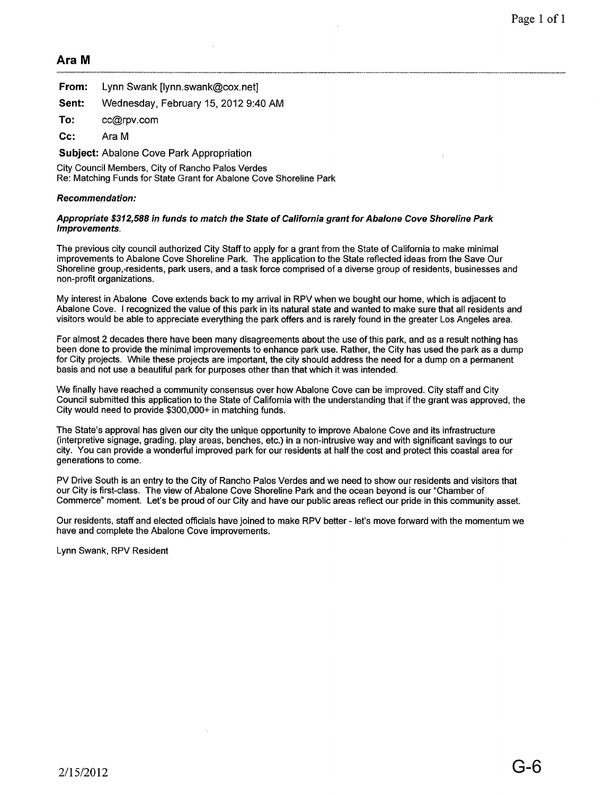#### <span id="page-5-0"></span>**Ara M**

|       | <b>From:</b> Lynn Swank Jynn.swank@cox.net] |
|-------|---------------------------------------------|
| Sent: | Wednesday, February 15, 2012 9:40 AM        |
| To:   | cc@rpv.com                                  |

**Cc:** Ara M

**Subject:** Abalone Cove Park Appropriation

City Council Members, City of Rancho Palos Verdes Re: Matching Funds for State Grant for Abalone Cove Shoreline Park

#### **Recommendation:**

#### **Appropriate \$312,588 in funds to match the State of California grant for Abalone Cove Shoreline Park Improvements.**

The previous city council authorized City Staff to apply for a grant from the State of California to make minimal improvements to Abalone Cove Shoreline Park. The application to the State reflected ideas from the Save Our Shoreline group, residents, park users, and a task force comprised of a diverse group of residents, businesses and non-profit organizations.

My interest in Abalone Cove extends back to my arrival in RPV when we bought our home, which is adjacent to Abalone Cove. I recognized the value of this park in its natural state and wanted to make sure that all residents and visitors would be able to appreciate everything the park offers and is rarely found in the greater Los Angeles area.

For almost 2 decades there have been many disagreements about the use of this park, and as a result nothing has been done to provide the minimal improvements to enhance park use. Rather, the City has used the park as a dump for City projects. While these projects are important, the city should address the need for a dump on a permanent basis and not use a beautiful park for purposes other than that which it was intended.

We finally have reached a community consensus over how Abalone Cove can be improved. City staff and City Council submitted this application to the State of California with the understanding that if the grant was approved, the City would need to provide \$300,000+ in matching funds.

The State's approval has given our city the unique opportunity to improve Abalone Cove and its infrastructure (interpretive signage, grading, play areas, benches, etc.) in a non-intrusive way and with significant savings to our city. You can provide a wonderful improved park for our residents at half the cost and protect this coastal area for generations to come.

PV Drive South is an entry to the City of Rancho Palos Verdes and we need to show our residents and visitors that our City is first-class. The view of Abalone Cove Shoreline Park and the ocean beyond is our "Chamber of Commerce" moment. Let's be proud of our City and have our public areas reflect our pride in this community asset.

Our residents, staff and elected officials have joined to make RPV better - let's move forward with the momentum we have and complete the Abalone Cove improvements.

Lynn Swank, RPV Resident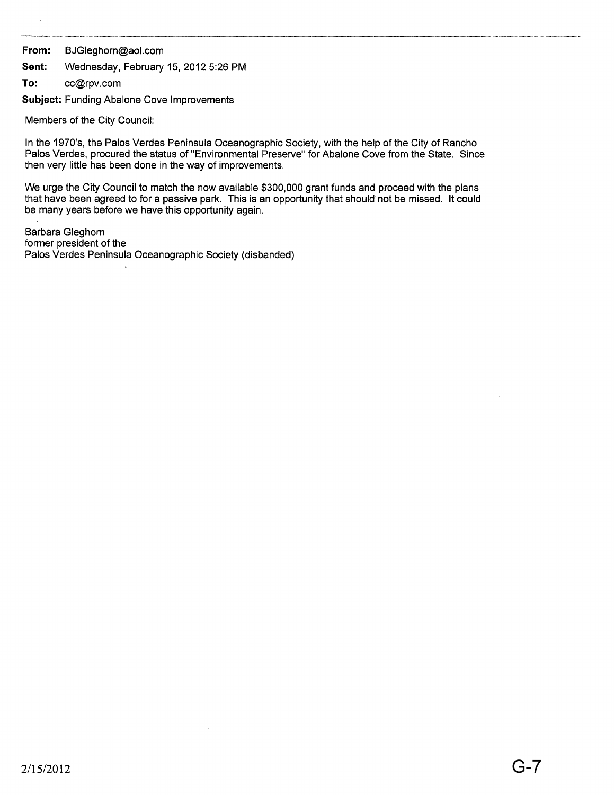#### From: BJGleghorn@aol.com

Sent: Wednesday, February 15, 2012 5:26 PM

To: cc@rpv.com

Subject: Funding Abalone Cove Improvements

 $\ddot{\phantom{a}}$ 

Members of the City Council:

In the 1970's, the Palos Verdes Peninsula Oceanographic Society, with the help of the City of Rancho Palos Verdes, procured the status of "Environmental Preserve" for Abalone Cove from the State. Since then very little has been done in the way of improvements.

We urge the City Council to match the now available \$300,000 grant funds and proceed with the plans that have been agreed to for a passive park. This is an opportunity that should' not be missed. It could be many years before we have this opportunity again.

Barbara Gleghorn former president of the Palos Verdes Peninsula Oceanographic Society (disbanded)